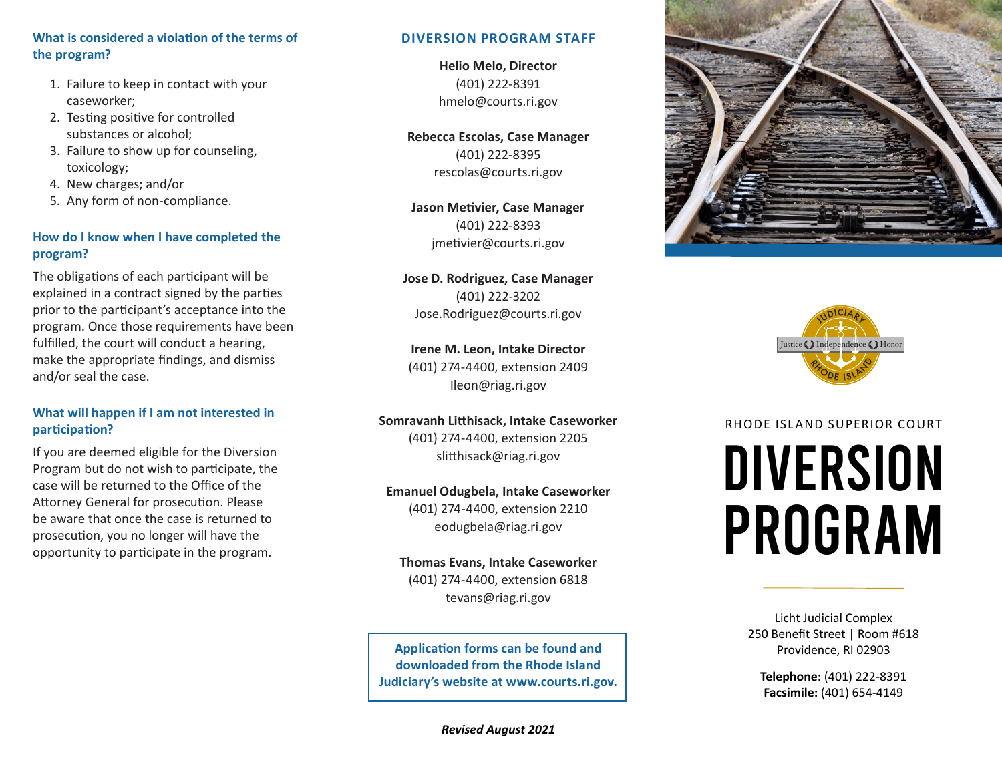### **What is considered a violation of the terms of the program?**

- 1. Failure to keep in contact with your caseworker;
- 2. Testing positive for controlled substances or alcohol;
- 3. Failure to show up for counseling, toxicology;
- 4. New charges; and/or
- 5. Any form of non-compliance.

# **How do I know when I have completed the program?**

The obligations of each participant will be explained in a contract signed by the parties prior to the participant's acceptance into the program. Once those requirements have been fulfilled, the court will conduct a hearing, make the appropriate findings, and dismiss and/or seal the case.

# **What will happen if I am not interested in participation?**

If you are deemed eligible for the Diversion Program but do not wish to participate, the case will be returned to the Office of the Attorney General for prosecution. Please be aware that once the case is returned to prosecution, you no longer will have the opportunity to participate in the program.

# **DIVERSION PROGRAM STAFF**

**Helio Melo, Director** (401) 222-8391 hmelo@courts.ri.gov

**Rebecca Escolas, Case Manager** (401) 222-8395 rescolas@courts.ri.gov

**Jason Metivier, Case Manager** (401) 222-8393 jmetivier@courts.ri.gov

**Jose D. Rodriguez, Case Manager** (401) 222-3202 Jose.Rodriguez@courts.ri.gov

#### **Irene M. Leon, Intake Director**

(401) 274-4400, extension 2409 Ileon@riag.ri.gov

# **Somravanh Litthisack, Intake Caseworker**

(401) 274-4400, extension 2205 slitthisack@riag.ri.gov

#### **Emanuel Odugbela, Intake Caseworker**

(401) 274-4400, extension 2210 eodugbela@riag.ri.gov

#### **Thomas Evans, Intake Caseworker**

(401) 274-4400, extension 6818 tevans@riag.ri.gov

**Application forms can be found and downloaded from the Rhode Island Judiciary's website at www.courts.ri.gov.**





RHODE ISLAND SUPERIOR COURT

# **DIVERSION** PROGRAM

Licht Judicial Complex 250 Benefit Street | Room #618 Providence, RI 02903

**Telephone:** (401) 222-8391 **Facsimile:** (401) 654-4149